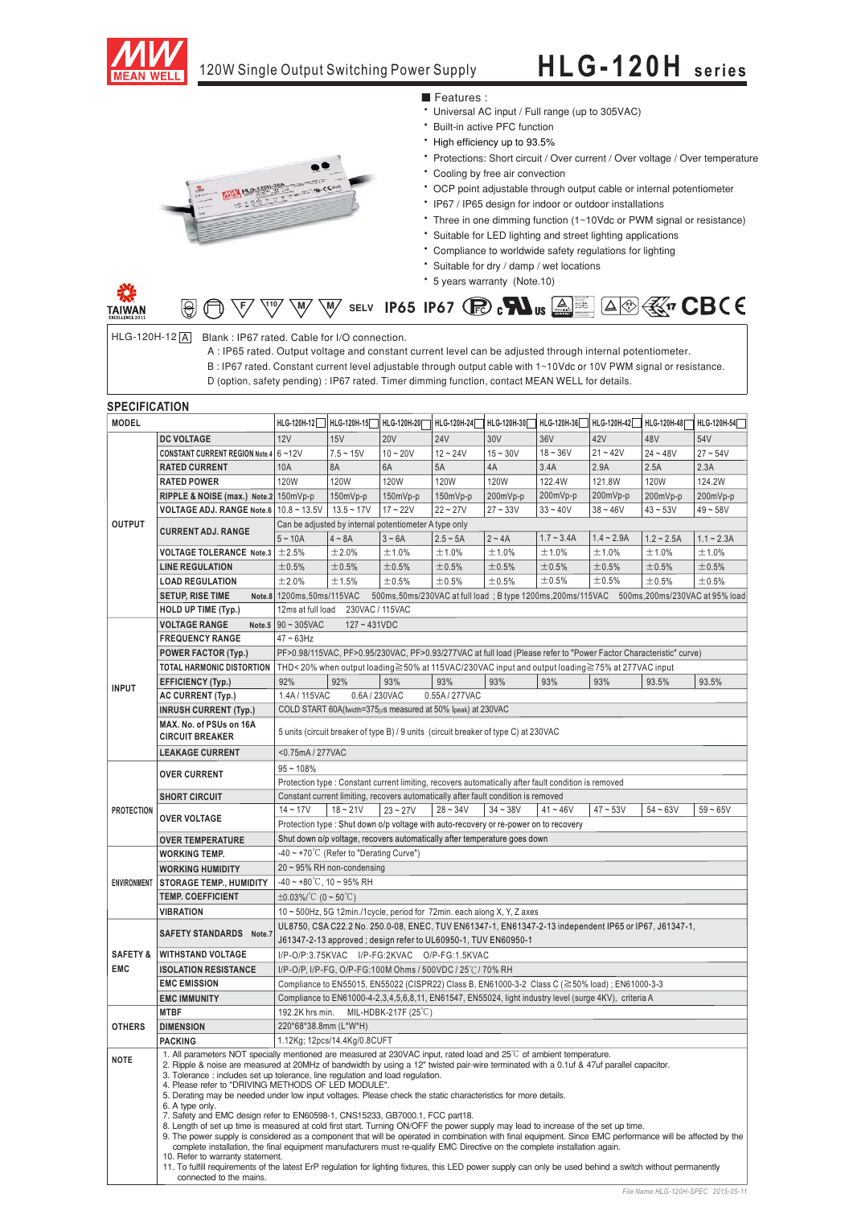

**SPECIFICATION**

 $-8.66$ 

#### **HLG-120H series**

■ Features :

- Universal AC input / Full range (up to 305VAC)
- Built-in active PFC function
- \* High efficiency up to 93.5%
- \* Protections: Short circuit / Over current / Over voltage / Over temperature
- Cooling by free air convection
- \* OCP point adjustable through output cable or internal potentiometer
- \* IP67 / IP65 design for indoor or outdoor installations
- \* Three in one dimming function (1~10Vdc or PWM signal or resistance)
- Suitable for LED lighting and street lighting applications
- \* Compliance to worldwide safety regulations for lighting
- \* Suitable for dry / damp / wet locations
- \* 5 years warranty (Note.10)

#### **A® Kr** CBCE  $\overline{\mathbb{W}}$   $\overline{\mathbb{W}}$   $\overline{\mathbb{W}}$  selv **IP65 IP67** ( $\overline{\mathbb{R}}$ )  $\overline{\mathbb{R}}$  us  $\overline{\mathbb{R}}$ **-TAIWAN**

 $HLG-120H-12[A]$  Blank : IP67 rated. Cable for I/O connection.

 $\frac{9}{2}$ 

**MVA HLG-12011-3** 

**3280** 

- A : IP65 rated. Output voltage and constant current level can be adjusted through internal potentiometer.
- B : IP67 rated. Constant current level adjustable through output cable with 1~10Vdc or 10V PWM signal or resistance.
- D (option, safety pending) : IP67 rated. Timer dimming function, contact MEAN WELL for details.

| JELUII IUMI IUN     |                                                                                                                                                                                                                                                                                                                                                                                                                               |                                                                                                                                                                                                                                                                                                                                                                                                   |                                                                           |                      |                |             |                                                                                                        |              |              |              |
|---------------------|-------------------------------------------------------------------------------------------------------------------------------------------------------------------------------------------------------------------------------------------------------------------------------------------------------------------------------------------------------------------------------------------------------------------------------|---------------------------------------------------------------------------------------------------------------------------------------------------------------------------------------------------------------------------------------------------------------------------------------------------------------------------------------------------------------------------------------------------|---------------------------------------------------------------------------|----------------------|----------------|-------------|--------------------------------------------------------------------------------------------------------|--------------|--------------|--------------|
| <b>MODEL</b>        |                                                                                                                                                                                                                                                                                                                                                                                                                               | HLG-120H-12                                                                                                                                                                                                                                                                                                                                                                                       | HLG-120H-15                                                               | HLG-120H-20          | HLG-120H-24    | HLG-120H-30 | HLG-120H-36                                                                                            | HLG-120H-42  | HLG-120H-48  | HLG-120H-54  |
|                     | <b>DC VOLTAGE</b>                                                                                                                                                                                                                                                                                                                                                                                                             | 12V                                                                                                                                                                                                                                                                                                                                                                                               | 15V                                                                       | <b>20V</b>           | <b>24V</b>     | 30V         | 36V                                                                                                    | 42V          | 48V          | 54V          |
| <b>OUTPUT</b>       | CONSTANT CURRENT REGION Note.4 6~12V                                                                                                                                                                                                                                                                                                                                                                                          |                                                                                                                                                                                                                                                                                                                                                                                                   | $7.5 - 15V$                                                               | $10 - 20V$           | $12 - 24V$     | $15 - 30V$  | $18 - 36V$                                                                                             | $21 - 42V$   | $24 - 48V$   | $27 - 54V$   |
|                     | <b>RATED CURRENT</b>                                                                                                                                                                                                                                                                                                                                                                                                          | 10A                                                                                                                                                                                                                                                                                                                                                                                               | 8A                                                                        | 6A                   | 5A             | 4A          | 3.4A                                                                                                   | 2.9A         | 2.5A         | 2.3A         |
|                     | <b>RATED POWER</b>                                                                                                                                                                                                                                                                                                                                                                                                            | 120W                                                                                                                                                                                                                                                                                                                                                                                              | 120W                                                                      | <b>120W</b>          | 120W           | <b>120W</b> | 122.4W                                                                                                 | 121.8W       | <b>120W</b>  | 124.2W       |
|                     | RIPPLE & NOISE (max.) Note.2 150mVp-p                                                                                                                                                                                                                                                                                                                                                                                         |                                                                                                                                                                                                                                                                                                                                                                                                   | 150mVp-p                                                                  | 150mVp-p             | 150mVp-p       | 200mVp-p    | 200mVp-p                                                                                               | 200mVp-p     | 200mVp-p     | 200mVp-p     |
|                     | <b>VOLTAGE ADJ. RANGE Note.6</b>                                                                                                                                                                                                                                                                                                                                                                                              | $10.8 - 13.5V$                                                                                                                                                                                                                                                                                                                                                                                    | $13.5 - 17V$                                                              | $17 - 22V$           | $22 - 27V$     | $27 - 33V$  | $33 - 40V$                                                                                             | $38 - 46V$   | $43 - 53V$   | $49 - 58V$   |
|                     | <b>CURRENT ADJ. RANGE</b>                                                                                                                                                                                                                                                                                                                                                                                                     | Can be adjusted by internal potentiometer A type only                                                                                                                                                                                                                                                                                                                                             |                                                                           |                      |                |             |                                                                                                        |              |              |              |
|                     |                                                                                                                                                                                                                                                                                                                                                                                                                               | $5 - 10A$                                                                                                                                                                                                                                                                                                                                                                                         | $4 \sim 8A$                                                               | $3 - 6A$             | $2.5 - 5A$     | $2 - 4A$    | $1.7 - 3.4A$                                                                                           | $1.4 - 2.9A$ | $1.2 - 2.5A$ | $1.1 - 2.3A$ |
|                     | <b>VOLTAGE TOLERANCE Note.3</b>                                                                                                                                                                                                                                                                                                                                                                                               | ±2.5%                                                                                                                                                                                                                                                                                                                                                                                             | ±2.0%                                                                     | ±1.0%                | ±1.0%          | ±1.0%       | ±1.0%                                                                                                  | ±1.0%        | ±1.0%        | ±1.0%        |
|                     | <b>LINE REGULATION</b>                                                                                                                                                                                                                                                                                                                                                                                                        | ±0.5%                                                                                                                                                                                                                                                                                                                                                                                             | $\pm 0.5\%$                                                               | ±0.5%                | ±0.5%          | ±0.5%       | ±0.5%                                                                                                  | ±0.5%        | ±0.5%        | $\pm 0.5\%$  |
|                     | <b>LOAD REGULATION</b>                                                                                                                                                                                                                                                                                                                                                                                                        | ±2.0%                                                                                                                                                                                                                                                                                                                                                                                             | ±1.5%                                                                     | ±0.5%                | ±0.5%          | ±0.5%       | ±0.5%                                                                                                  | ±0.5%        | ±0.5%        | ±0.5%        |
|                     | <b>SETUP, RISE TIME</b>                                                                                                                                                                                                                                                                                                                                                                                                       | 500ms,50ms/230VAC at full load; B type 1200ms,200ms/115VAC 500ms,200ms/230VAC at 95% load<br>Note.8 1200ms, 50ms/115VAC                                                                                                                                                                                                                                                                           |                                                                           |                      |                |             |                                                                                                        |              |              |              |
|                     | <b>HOLD UP TIME (Typ.)</b>                                                                                                                                                                                                                                                                                                                                                                                                    | 12ms at full load 230VAC / 115VAC                                                                                                                                                                                                                                                                                                                                                                 |                                                                           |                      |                |             |                                                                                                        |              |              |              |
| <b>INPUT</b>        | <b>VOLTAGE RANGE</b>                                                                                                                                                                                                                                                                                                                                                                                                          | Note.5 $90 \sim 305$ VAC<br>$127 - 431VDC$                                                                                                                                                                                                                                                                                                                                                        |                                                                           |                      |                |             |                                                                                                        |              |              |              |
|                     | <b>FREQUENCY RANGE</b>                                                                                                                                                                                                                                                                                                                                                                                                        | $47 - 63$ Hz                                                                                                                                                                                                                                                                                                                                                                                      |                                                                           |                      |                |             |                                                                                                        |              |              |              |
|                     | <b>POWER FACTOR (Typ.)</b>                                                                                                                                                                                                                                                                                                                                                                                                    | PF>0.98/115VAC, PF>0.95/230VAC, PF>0.93/277VAC at full load (Please refer to "Power Factor Characteristic" curve)                                                                                                                                                                                                                                                                                 |                                                                           |                      |                |             |                                                                                                        |              |              |              |
|                     | TOTAL HARMONIC DISTORTION                                                                                                                                                                                                                                                                                                                                                                                                     | THD< 20% when output loading≧50% at 115VAC/230VAC input and output loading≧75% at 277VAC input                                                                                                                                                                                                                                                                                                    |                                                                           |                      |                |             |                                                                                                        |              |              |              |
|                     | <b>EFFICIENCY (Typ.)</b>                                                                                                                                                                                                                                                                                                                                                                                                      | 92%                                                                                                                                                                                                                                                                                                                                                                                               | 92%                                                                       | 93%                  | 93%            | 93%         | 93%                                                                                                    | 93%          | 93.5%        | 93.5%        |
|                     | AC CURRENT (Typ.)                                                                                                                                                                                                                                                                                                                                                                                                             | 1.4A/115VAC                                                                                                                                                                                                                                                                                                                                                                                       | 0.6A/230VAC                                                               |                      | 0.55A / 277VAC |             |                                                                                                        |              |              |              |
|                     | <b>INRUSH CURRENT (Typ.)</b>                                                                                                                                                                                                                                                                                                                                                                                                  | COLD START 60A(twidth=375µs measured at 50% Ipeak) at 230VAC                                                                                                                                                                                                                                                                                                                                      |                                                                           |                      |                |             |                                                                                                        |              |              |              |
|                     | MAX. No. of PSUs on 16A                                                                                                                                                                                                                                                                                                                                                                                                       | 5 units (circuit breaker of type B) / 9 units (circuit breaker of type C) at 230VAC                                                                                                                                                                                                                                                                                                               |                                                                           |                      |                |             |                                                                                                        |              |              |              |
|                     | <b>CIRCUIT BREAKER</b>                                                                                                                                                                                                                                                                                                                                                                                                        |                                                                                                                                                                                                                                                                                                                                                                                                   |                                                                           |                      |                |             |                                                                                                        |              |              |              |
|                     | <b>LEAKAGE CURRENT</b>                                                                                                                                                                                                                                                                                                                                                                                                        | <0.75mA/277VAC                                                                                                                                                                                                                                                                                                                                                                                    |                                                                           |                      |                |             |                                                                                                        |              |              |              |
| <b>PROTECTION</b>   | <b>OVER CURRENT</b>                                                                                                                                                                                                                                                                                                                                                                                                           | $95 - 108%$                                                                                                                                                                                                                                                                                                                                                                                       |                                                                           |                      |                |             |                                                                                                        |              |              |              |
|                     |                                                                                                                                                                                                                                                                                                                                                                                                                               | Protection type : Constant current limiting, recovers automatically after fault condition is removed                                                                                                                                                                                                                                                                                              |                                                                           |                      |                |             |                                                                                                        |              |              |              |
|                     | <b>SHORT CIRCUIT</b>                                                                                                                                                                                                                                                                                                                                                                                                          | Constant current limiting, recovers automatically after fault condition is removed                                                                                                                                                                                                                                                                                                                |                                                                           |                      |                |             |                                                                                                        |              |              |              |
|                     | <b>OVER VOLTAGE</b>                                                                                                                                                                                                                                                                                                                                                                                                           | $14 - 17V$<br>$18 - 21V$<br>$23 - 27V$<br>$28 - 34V$<br>$34 - 38V$<br>$41 - 46V$<br>$47 - 53V$<br>$54 - 63V$<br>$59 - 65V$                                                                                                                                                                                                                                                                        |                                                                           |                      |                |             |                                                                                                        |              |              |              |
|                     |                                                                                                                                                                                                                                                                                                                                                                                                                               | Protection type : Shut down o/p voltage with auto-recovery or re-power on to recovery                                                                                                                                                                                                                                                                                                             |                                                                           |                      |                |             |                                                                                                        |              |              |              |
|                     | <b>OVER TEMPERATURE</b>                                                                                                                                                                                                                                                                                                                                                                                                       |                                                                                                                                                                                                                                                                                                                                                                                                   | Shut down o/p voltage, recovers automatically after temperature goes down |                      |                |             |                                                                                                        |              |              |              |
| <b>ENVIRONMENT</b>  | <b>WORKING TEMP.</b>                                                                                                                                                                                                                                                                                                                                                                                                          | $-40 \sim +70^{\circ}$ (Refer to "Derating Curve")                                                                                                                                                                                                                                                                                                                                                |                                                                           |                      |                |             |                                                                                                        |              |              |              |
|                     | <b>WORKING HUMIDITY</b>                                                                                                                                                                                                                                                                                                                                                                                                       | 20~95% RH non-condensing                                                                                                                                                                                                                                                                                                                                                                          |                                                                           |                      |                |             |                                                                                                        |              |              |              |
|                     | <b>STORAGE TEMP., HUMIDITY</b>                                                                                                                                                                                                                                                                                                                                                                                                | $-40 \sim +80^{\circ}$ C, 10 ~ 95% RH                                                                                                                                                                                                                                                                                                                                                             |                                                                           |                      |                |             |                                                                                                        |              |              |              |
|                     | <b>TEMP. COEFFICIENT</b>                                                                                                                                                                                                                                                                                                                                                                                                      | $\pm 0.03\%$ (°C (0 ~ 50°C)                                                                                                                                                                                                                                                                                                                                                                       |                                                                           |                      |                |             |                                                                                                        |              |              |              |
|                     | <b>VIBRATION</b>                                                                                                                                                                                                                                                                                                                                                                                                              | 10 ~ 500Hz, 5G 12min./1cycle, period for 72min. each along X, Y, Z axes                                                                                                                                                                                                                                                                                                                           |                                                                           |                      |                |             |                                                                                                        |              |              |              |
| <b>SAFETY &amp;</b> | <b>SAFETY STANDARDS</b> Note.7<br><b>WITHSTAND VOLTAGE</b>                                                                                                                                                                                                                                                                                                                                                                    | UL8750, CSA C22.2 No. 250.0-08, ENEC, TUV EN61347-1, EN61347-2-13 independent IP65 or IP67, J61347-1,                                                                                                                                                                                                                                                                                             |                                                                           |                      |                |             |                                                                                                        |              |              |              |
|                     |                                                                                                                                                                                                                                                                                                                                                                                                                               | J61347-2-13 approved; design refer to UL60950-1, TUV EN60950-1                                                                                                                                                                                                                                                                                                                                    |                                                                           |                      |                |             |                                                                                                        |              |              |              |
|                     |                                                                                                                                                                                                                                                                                                                                                                                                                               | I/P-O/P:3.75KVAC I/P-FG:2KVAC O/P-FG:1.5KVAC                                                                                                                                                                                                                                                                                                                                                      |                                                                           |                      |                |             |                                                                                                        |              |              |              |
| <b>EMC</b>          | <b>ISOLATION RESISTANCE</b>                                                                                                                                                                                                                                                                                                                                                                                                   | I/P-O/P, I/P-FG, O/P-FG:100M Ohms / 500VDC / 25°C / 70% RH                                                                                                                                                                                                                                                                                                                                        |                                                                           |                      |                |             |                                                                                                        |              |              |              |
|                     | <b>EMC EMISSION</b>                                                                                                                                                                                                                                                                                                                                                                                                           | Compliance to EN55015, EN55022 (CISPR22) Class B, EN61000-3-2 Class C (≧50% load); EN61000-3-3                                                                                                                                                                                                                                                                                                    |                                                                           |                      |                |             |                                                                                                        |              |              |              |
|                     | <b>EMC IMMUNITY</b>                                                                                                                                                                                                                                                                                                                                                                                                           |                                                                                                                                                                                                                                                                                                                                                                                                   |                                                                           |                      |                |             | Compliance to EN61000-4-2,3,4,5,6,8,11, EN61547, EN55024, light industry level (surge 4KV), criteria A |              |              |              |
| <b>OTHERS</b>       | <b>MTBF</b>                                                                                                                                                                                                                                                                                                                                                                                                                   | 192.2K hrs min.                                                                                                                                                                                                                                                                                                                                                                                   |                                                                           | MIL-HDBK-217F (25°C) |                |             |                                                                                                        |              |              |              |
|                     | <b>DIMENSION</b>                                                                                                                                                                                                                                                                                                                                                                                                              | 220*68*38.8mm (L*W*H)                                                                                                                                                                                                                                                                                                                                                                             |                                                                           |                      |                |             |                                                                                                        |              |              |              |
|                     | <b>PACKING</b>                                                                                                                                                                                                                                                                                                                                                                                                                |                                                                                                                                                                                                                                                                                                                                                                                                   | 1.12Kg; 12pcs/14.4Kg/0.8CUFT                                              |                      |                |             |                                                                                                        |              |              |              |
| <b>NOTE</b>         |                                                                                                                                                                                                                                                                                                                                                                                                                               | 1. All parameters NOT specially mentioned are measured at 230VAC input, rated load and $25^{\circ}$ of ambient temperature.                                                                                                                                                                                                                                                                       |                                                                           |                      |                |             |                                                                                                        |              |              |              |
|                     |                                                                                                                                                                                                                                                                                                                                                                                                                               | 2. Ripple & noise are measured at 20MHz of bandwidth by using a 12" twisted pair-wire terminated with a 0.1uf & 47uf parallel capacitor.<br>3. Tolerance: includes set up tolerance, line regulation and load regulation.<br>4. Please refer to "DRIVING METHODS OF LED MODULE".<br>5. Derating may be needed under low input voltages. Please check the static characteristics for more details. |                                                                           |                      |                |             |                                                                                                        |              |              |              |
|                     |                                                                                                                                                                                                                                                                                                                                                                                                                               |                                                                                                                                                                                                                                                                                                                                                                                                   |                                                                           |                      |                |             |                                                                                                        |              |              |              |
|                     |                                                                                                                                                                                                                                                                                                                                                                                                                               |                                                                                                                                                                                                                                                                                                                                                                                                   |                                                                           |                      |                |             |                                                                                                        |              |              |              |
|                     | 6. A type only.<br>7. Safety and EMC design refer to EN60598-1, CNS15233, GB7000.1, FCC part18.                                                                                                                                                                                                                                                                                                                               |                                                                                                                                                                                                                                                                                                                                                                                                   |                                                                           |                      |                |             |                                                                                                        |              |              |              |
|                     | 8. Length of set up time is measured at cold first start. Turning ON/OFF the power supply may lead to increase of the set up time.<br>9. The power supply is considered as a component that will be operated in combination with final equipment. Since EMC performance will be affected by the<br>complete installation, the final equipment manufacturers must re-qualify EMC Directive on the complete installation again. |                                                                                                                                                                                                                                                                                                                                                                                                   |                                                                           |                      |                |             |                                                                                                        |              |              |              |
|                     |                                                                                                                                                                                                                                                                                                                                                                                                                               |                                                                                                                                                                                                                                                                                                                                                                                                   |                                                                           |                      |                |             |                                                                                                        |              |              |              |
|                     | 10. Refer to warranty statement.                                                                                                                                                                                                                                                                                                                                                                                              |                                                                                                                                                                                                                                                                                                                                                                                                   |                                                                           |                      |                |             |                                                                                                        |              |              |              |
|                     | 11. To fulfill requirements of the latest ErP regulation for lighting fixtures, this LED power supply can only be used behind a switch without permanently<br>connected to the mains.                                                                                                                                                                                                                                         |                                                                                                                                                                                                                                                                                                                                                                                                   |                                                                           |                      |                |             |                                                                                                        |              |              |              |
|                     |                                                                                                                                                                                                                                                                                                                                                                                                                               |                                                                                                                                                                                                                                                                                                                                                                                                   |                                                                           |                      |                |             |                                                                                                        |              |              |              |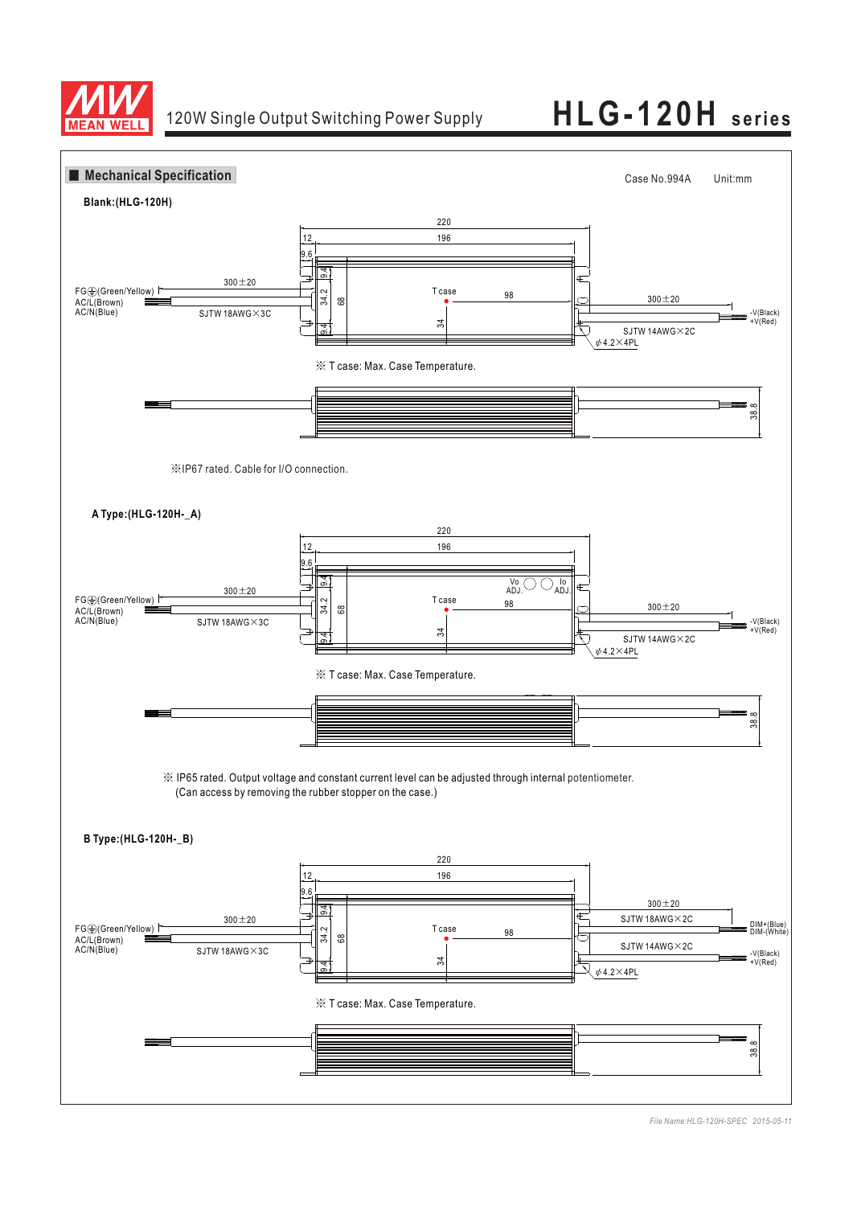



*File Name:HLG-120H-SPEC 2015-05-11*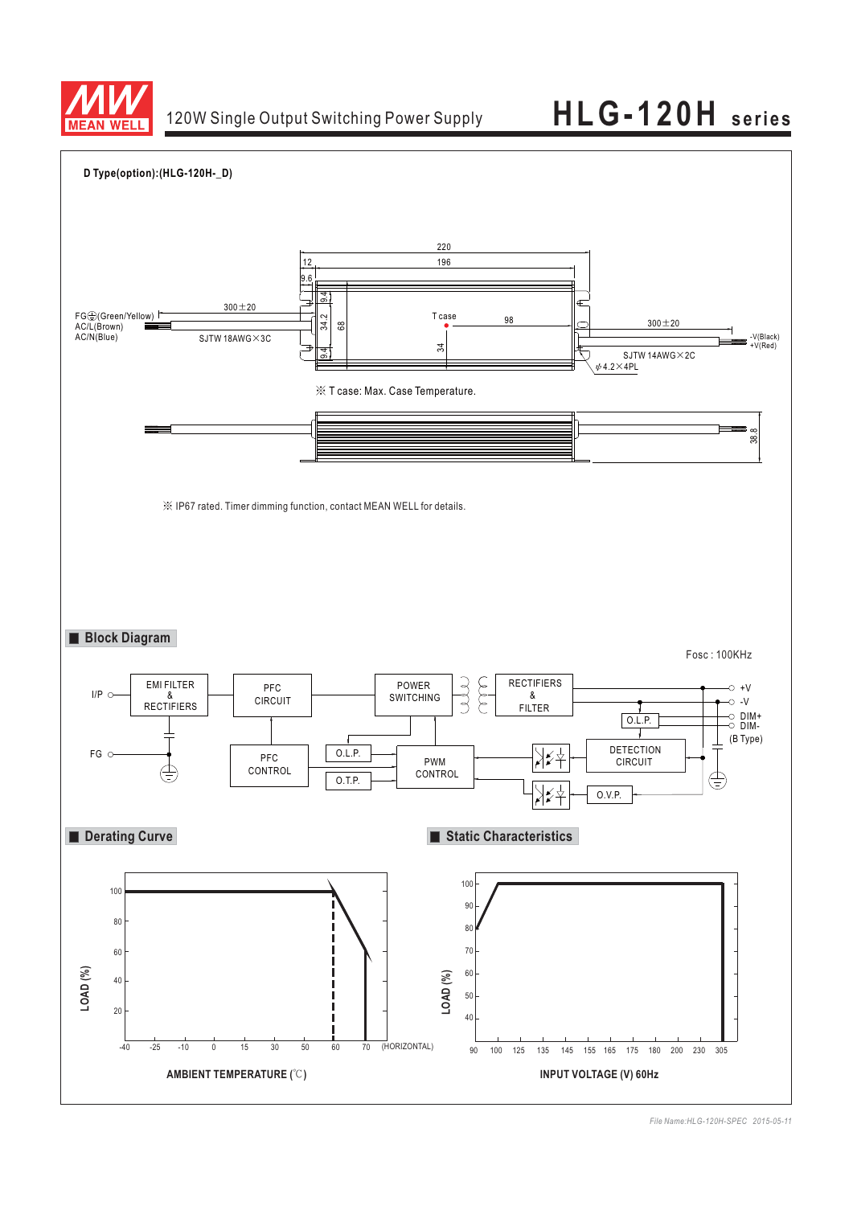



*File Name:HLG-120H-SPEC 2015-05-11*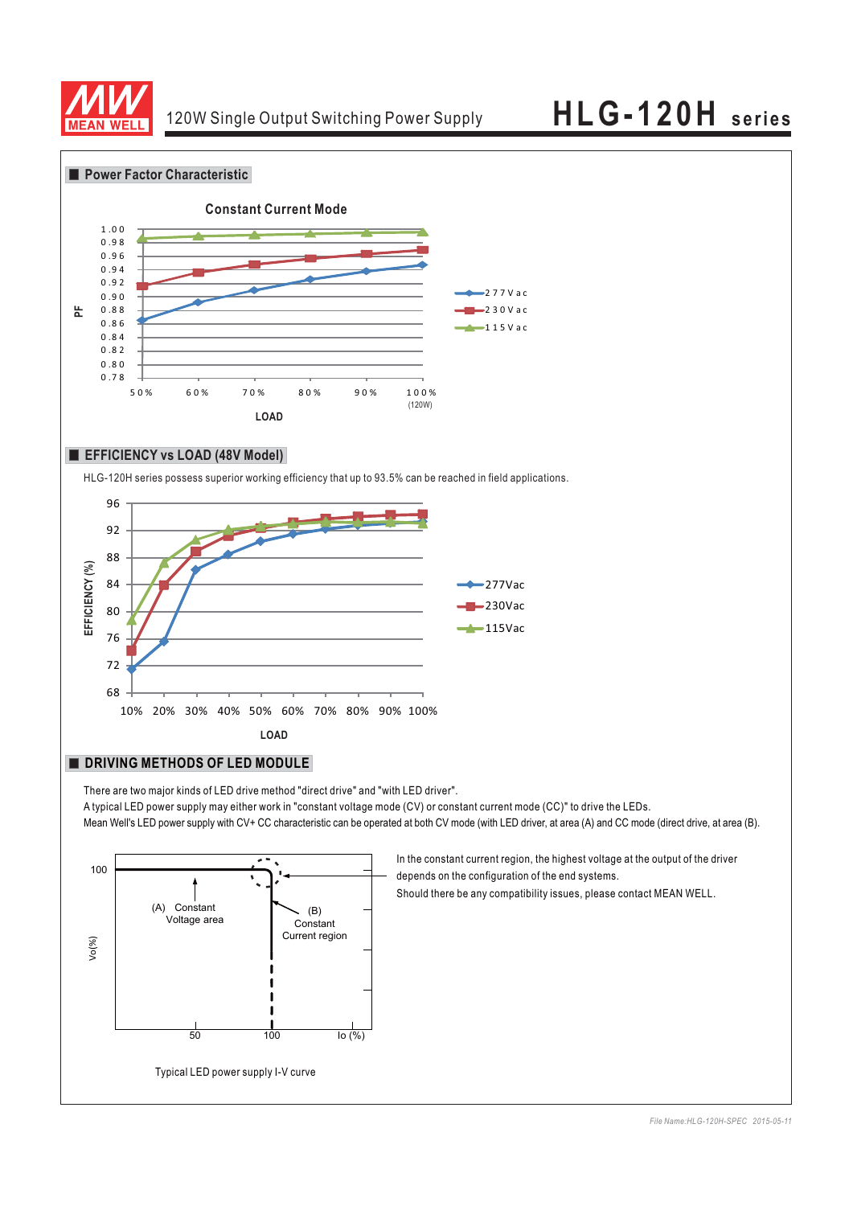



A typical LED power supply may either work in "constant voltage mode (CV) or constant current mode (CC)" to drive the LEDs. Mean Well's LED power supply with CV+ CC characteristic can be operated at both CV mode (with LED driver, at area (A) and CC mode (direct drive, at area (B).

100  $\bigvee$  Voltage area Voltage area Constant Vo(%) Current region  $50$  $100$  $\sim$  100  $\sim$  100  $\sim$  100  $\sim$  100  $\sim$  100  $\sim$  100  $\sim$  100  $\sim$  100  $\sim$  100  $\sim$  100  $\sim$  100  $\sim$  100  $\sim$  100  $\sim$  100  $\sim$  100  $\sim$  100  $\sim$  100  $\sim$  100  $\sim$  100  $\sim$  100  $\sim$  100  $\sim$  100  $\sim$  100  $\sim$  100  $\sim$  Typical LED power supply I-V curve

In the constant current region, the highest voltage at the output of the driver depends on the configuration of the end systems.

Should there be any compatibility issues, please contact MEAN WELL.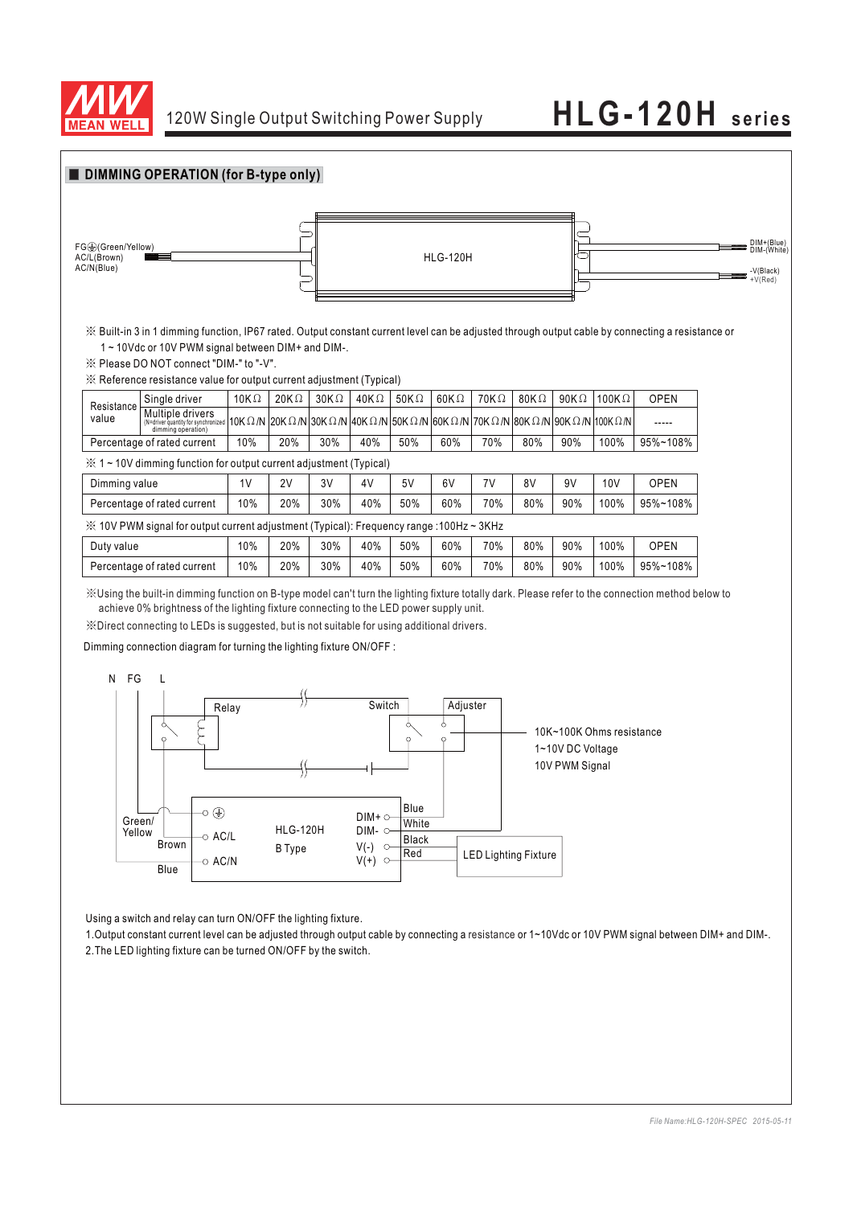

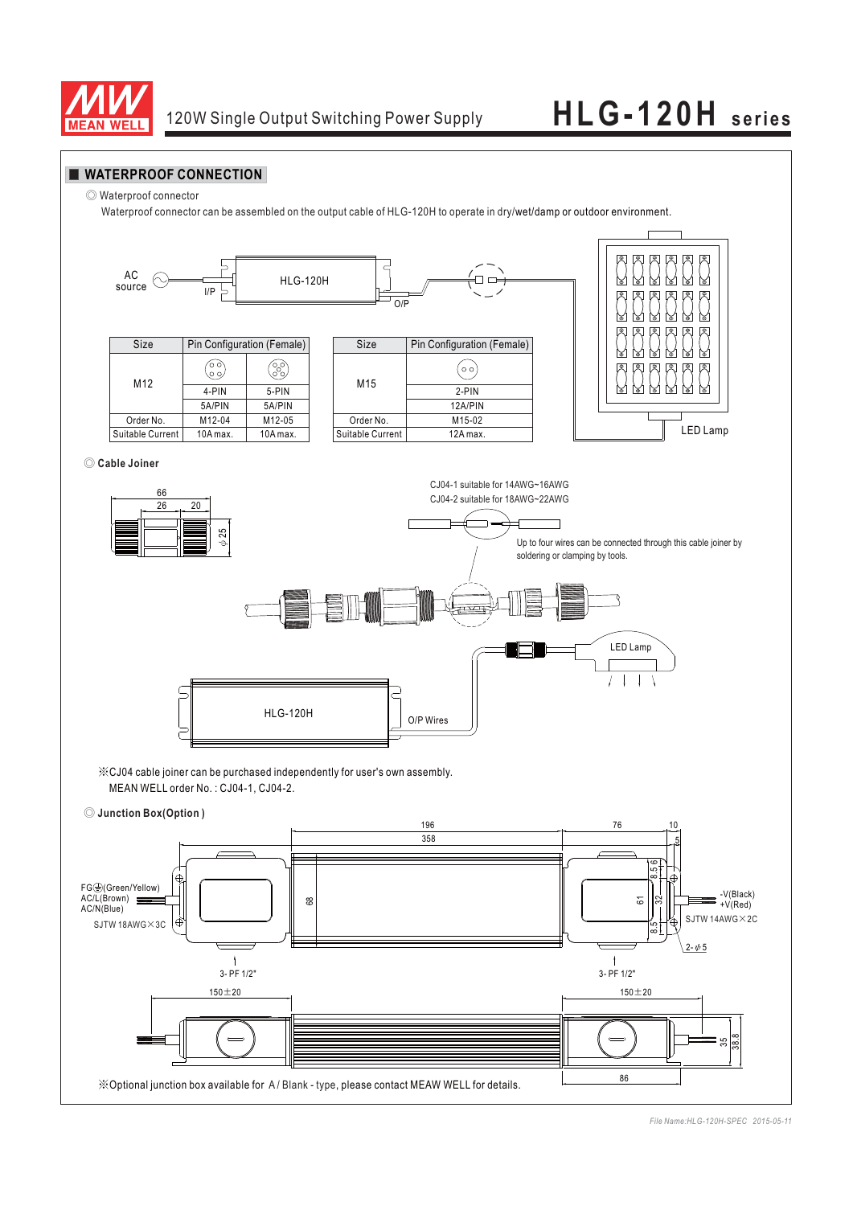

#### **WATERPROOF CONNECTION**

◎ Waterproof connector

Waterproof connector can be assembled on the output cable of HLG-120H to operate in dry/wet/damp or outdoor environment.



*File Name:HLG-120H-SPEC 2015-05-11*